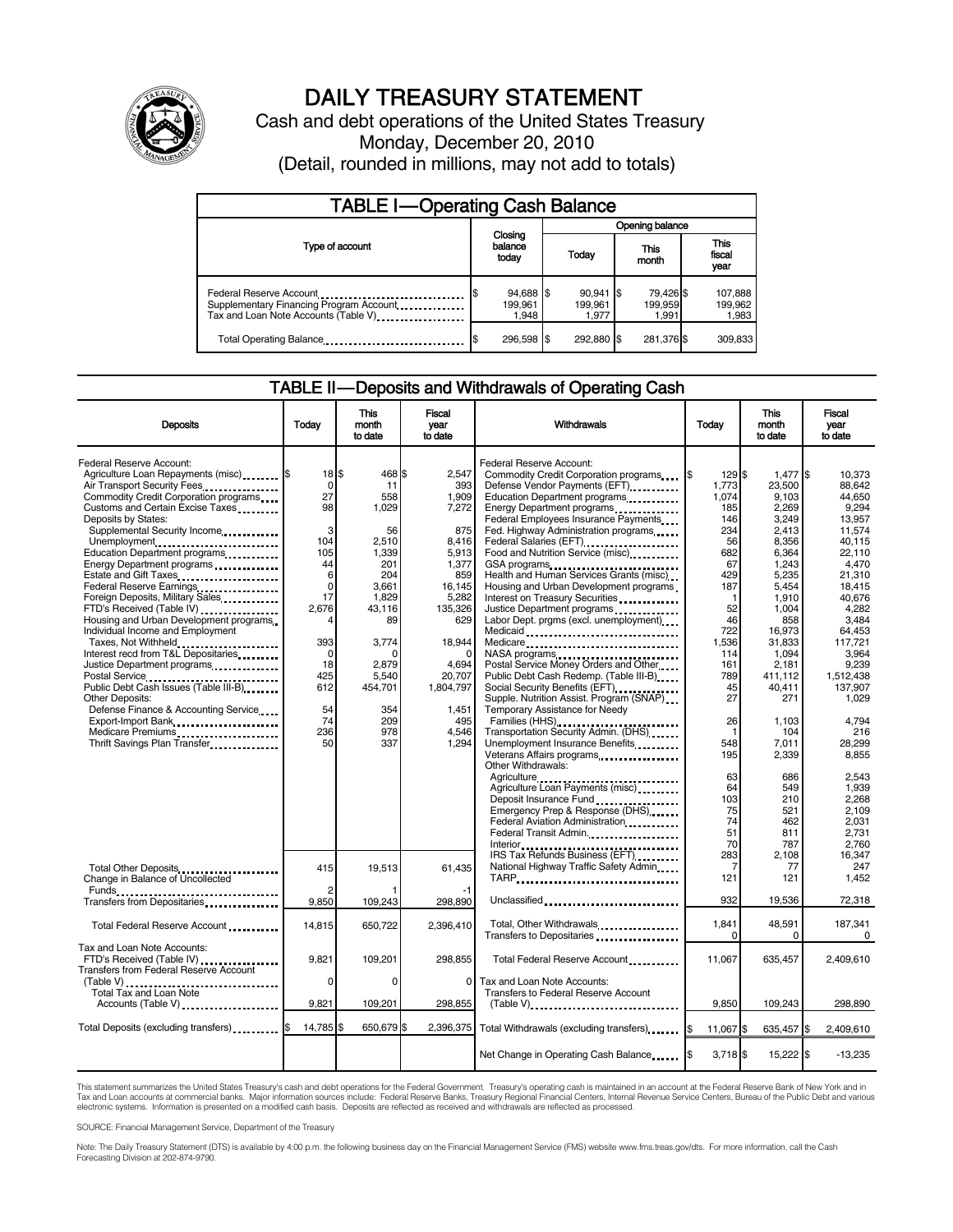

# DAILY TREASURY STATEMENT

Cash and debt operations of the United States Treasury Monday, December 20, 2010 (Detail, rounded in millions, may not add to totals)

| <b>TABLE I-Operating Cash Balance</b>                                                                      |                               |                                 |                               |                             |  |  |
|------------------------------------------------------------------------------------------------------------|-------------------------------|---------------------------------|-------------------------------|-----------------------------|--|--|
|                                                                                                            |                               |                                 | Opening balance               |                             |  |  |
| Type of account                                                                                            | Closing<br>balance<br>today   | Today                           | This<br>month                 | This<br>fiscal<br>year      |  |  |
| Federal Reserve Account<br>Supplementary Financing Program Account<br>Tax and Loan Note Accounts (Table V) | 94,688 \$<br>199.961<br>1,948 | $90.941$ \$<br>199.961<br>1.977 | 79,426 \$<br>199,959<br>1.991 | 107,888<br>199,962<br>1,983 |  |  |
| Total Operating Balance                                                                                    | 296.598 \$                    | 292.880 \$                      | 281,376 \$                    | 309.833                     |  |  |

#### TABLE II — Deposits and Withdrawals of Operating Cash

| <b>Deposits</b>                                                                                                                                                                                                                                                | Todav                                     | <b>This</b><br>month<br>to date        | <b>Fiscal</b><br>year<br>to date                  | Withdrawals                                                                                                                                                                                              | Today                             | <b>This</b><br>month<br>to date                      | Fiscal<br>vear<br>to date                                 |
|----------------------------------------------------------------------------------------------------------------------------------------------------------------------------------------------------------------------------------------------------------------|-------------------------------------------|----------------------------------------|---------------------------------------------------|----------------------------------------------------------------------------------------------------------------------------------------------------------------------------------------------------------|-----------------------------------|------------------------------------------------------|-----------------------------------------------------------|
| Federal Reserve Account:<br>Agriculture Loan Repayments (misc) [\$<br>Air Transport Security Fees<br>Commodity Credit Corporation programs                                                                                                                     | $18$ $\bar{3}$<br>$\mathbf 0$<br>27<br>98 | 468 \$<br>11<br>558                    | 2,547<br>393<br>1,909                             | Federal Reserve Account:<br>Commodity Credit Corporation programs \$<br>Defense Vendor Payments (EFT)<br>Education Department programs                                                                   | 129 \$<br>1,773<br>1,074          | 1,477 \$<br>23,500<br>9.103<br>2.269                 | 10.373<br>88.642<br>44.650                                |
| Customs and Certain Excise Taxes<br>Deposits by States:<br>Supplemental Security Income<br>Unemployment<br>Education Department programs                                                                                                                       | 3<br>104<br>105                           | 1,029<br>56<br>2,510<br>1.339          | 7.272<br>875<br>8.416<br>5.913                    | Energy Department programs<br>Federal Employees Insurance Payments<br>Fed. Highway Administration programs<br>Federal Salaries (EFT)<br>1999 - Palaries (EFT)<br>Food and Nutrition Service (misc) [100] | 185<br>146<br>234<br>56<br>682    | 3.249<br>2,413<br>8,356<br>6.364                     | 9.294<br>13.957<br>11.574<br>40.115<br>22.110             |
| Energy Department programs<br>Estate and Gift Taxes<br>Federal Reserve Earnings<br>Foreign Deposits, Military Sales<br>FTD's Received (Table IV)                                                                                                               | 44<br>6<br>$\mathbf 0$<br>17<br>2,676     | 201<br>204<br>3,661<br>1,829<br>43,116 | 1,377<br>859<br>16,145<br>5,282<br>135,326<br>629 | GSA programs<br>Health and Human Services Grants (misc)<br>Housing and Urban Development programs<br>Interest on Treasury Securities<br>Justice Department programs                                      | 67<br>429<br>187<br>1<br>52<br>46 | 1,243<br>5,235<br>5.454<br>1,910<br>1,004            | 4,470<br>21,310<br>18.415<br>40,676<br>4,282              |
| Housing and Urban Development programs<br>Individual Income and Employment<br>Taxes, Not Withheld<br>Interest recd from T&L Depositaries<br>Justice Department programs<br>Postal Service                                                                      | 393<br>$\Omega$<br>18<br>425              | 89<br>3,774<br>2.879<br>5,540          | 18,944<br>4.694<br>20,707                         | Labor Dept. prgms (excl. unemployment)<br>Medicaid<br>Medicare<br>NASA programs<br>Postal Service Money Orders and Other<br>Public Debt Cash Redemp. (Table III-B)                                       | 722<br>1,536<br>114<br>161<br>789 | 858<br>16,973<br>31,833<br>1,094<br>2.181<br>411,112 | 3.484<br>64,453<br>117,721<br>3,964<br>9.239<br>1,512,438 |
| Public Debt Cash Issues (Table III-B)<br><b>Other Deposits:</b><br>Defense Finance & Accounting Service<br>Export-Import Bank<br>                                                                                                                              | 612<br>54<br>74<br>236                    | 454,701<br>354<br>209<br>978           | 1,804,797<br>1,451<br>495                         | Supple. Nutrition Assist. Program (SNAP)<br>Temporary Assistance for Needy<br>Families (HHS)                                                                                                             | 45<br>27<br>26<br>$\mathbf 1$     | 40,411<br>271<br>1,103                               | 137,907<br>1.029<br>4,794                                 |
| Medicare Premiums<br>Thrift Savings Plan Transfer<br>1996 - Thrift Savings Plan Transfer<br>1997 - Thrift Savings Plan Transfer<br>1997 - Thrift Savings Plan Transfer<br>1998 - Thrift Savings Plan Transfer<br>1998 - Thrift Savings Plan Transfer<br>1998 - | 50                                        | 337                                    | 4,546<br>1,294                                    | Transportation Security Admin. (DHS)<br>Unemployment Insurance Benefits<br>Other Withdrawals:                                                                                                            | 548<br>195<br>63                  | 104<br>7,011<br>2,339<br>686                         | 216<br>28,299<br>8,855<br>2.543                           |
|                                                                                                                                                                                                                                                                |                                           |                                        |                                                   | Agriculture Loan Payments (misc)<br>Deposit Insurance Fund<br>Emergency Prep & Response (DHS)<br>Federal Aviation Administration <b>Figure 2.1 Figure 2.1</b><br>Federal Transit Admin.                  | 64<br>103<br>75<br>74<br>51<br>70 | 549<br>210<br>521<br>462<br>811<br>787               | 1.939<br>2,268<br>2.109<br>2.031<br>2.731<br>2.760        |
| Total Other Deposits<br>Change in Balance of Uncollected                                                                                                                                                                                                       | 415                                       | 19,513                                 | 61,435                                            | IRS Tax Refunds Business (EFT)<br>National Highway Traffic Safety Admin<br>TARP                                                                                                                          | 283<br>7<br>121                   | 2,108<br>77<br>121                                   | 16,347<br>247<br>1.452                                    |
| Transfers from Depositaries                                                                                                                                                                                                                                    | 9,850                                     | 109,243                                | 298,890                                           | Unclassified                                                                                                                                                                                             | 932                               | 19,536                                               | 72,318                                                    |
| Total Federal Reserve Account                                                                                                                                                                                                                                  | 14,815                                    | 650,722                                | 2,396,410                                         | Total, Other Withdrawals<br>Transfers to Depositaries                                                                                                                                                    | 1,841<br><sup>n</sup>             | 48,591<br>0                                          | 187,341<br>0                                              |
| Tax and Loan Note Accounts:<br>FTD's Received (Table IV)<br><b>Transfers from Federal Reserve Account</b>                                                                                                                                                      | 9,821                                     | 109,201                                | 298.855                                           | Total Federal Reserve Account                                                                                                                                                                            | 11,067                            | 635,457                                              | 2,409,610                                                 |
| Total Tax and Loan Note<br>Accounts (Table V)                                                                                                                                                                                                                  | 0<br>9.821                                | $\Omega$<br>109,201                    | 0<br>298.855                                      | Tax and Loan Note Accounts:<br>Transfers to Federal Reserve Account<br>$(Table V)$                                                                                                                       | 9.850                             | 109.243                                              | 298.890                                                   |
| Total Deposits (excluding transfers) [1994]                                                                                                                                                                                                                    | 14,785                                    | 650,679<br>ß.                          | 2,396,375                                         | Total Withdrawals (excluding transfers) <b>S</b>                                                                                                                                                         | 11,067 \$                         | 635,457 \$                                           | 2,409,610                                                 |
|                                                                                                                                                                                                                                                                |                                           |                                        |                                                   | Net Change in Operating Cash Balance                                                                                                                                                                     | $3,718$ \$                        | 15,222 \$                                            | $-13,235$                                                 |

This statement summarizes the United States Treasury's cash and debt operations for the Federal Government. Treasury's operating cash is maintained in an account at the Federal Reserve Bank of New York and in<br>Tax and Loan electronic systems. Information is presented on a modified cash basis. Deposits are reflected as received and withdrawals are reflected as processed.

SOURCE: Financial Management Service, Department of the Treasury

Note: The Daily Treasury Statement (DTS) is available by 4:00 p.m. the following business day on the Financial Management Service (FMS) website www.fms.treas.gov/dts. For more information, call the Cash Forecasting Division at 202-874-9790.